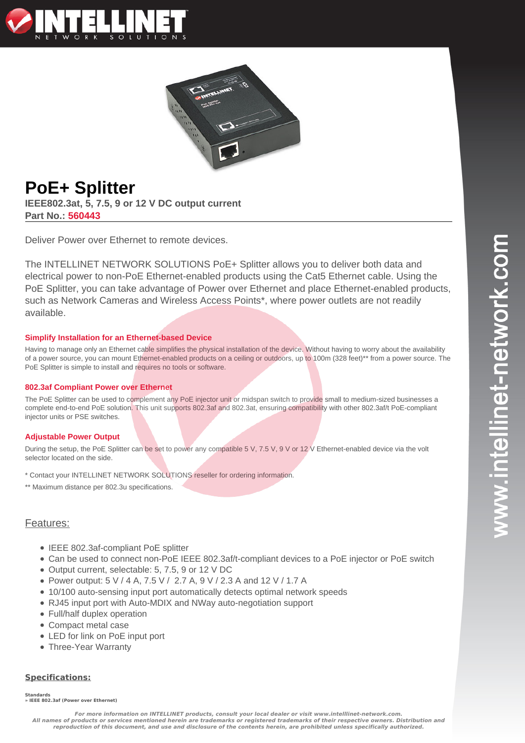



# **PoE+ Splitter**

**IEEE802.3at, 5, 7.5, 9 or 12 V DC output current Part No.: 560443**

Deliver Power over Ethernet to remote devices.

The INTELLINET NETWORK SOLUTIONS PoE+ Splitter allows you to deliver both data and electrical power to non-PoE Ethernet-enabled products using the Cat5 Ethernet cable. Using the PoE Splitter, you can take advantage of Power over Ethernet and place Ethernet-enabled products, such as Network Cameras and Wireless Access Points\*, where power outlets are not readily available.

### **Simplify Installation for an Ethernet-based Device**

Having to manage only an Ethernet cable simplifies the physical installation of the device. Without having to worry about the availability of a power source, you can mount Ethernet-enabled products on a ceiling or outdoors, up to 100m (328 feet)\*\* from a power source. The PoE Splitter is simple to install and requires no tools or software.

### **802.3af Compliant Power over Ethernet**

The PoE Splitter can be used to complement any PoE injector unit or midspan switch to provide small to medium-sized businesses a complete end-to-end PoE solution. This unit supports 802.3af and 802.3at, ensuring compatibility with other 802.3af/t PoE-compliant injector units or PSE switches.

### **Adjustable Power Output**

During the setup, the PoE Splitter can be set to power any compatible 5 V, 7.5 V, 9 V or 12 V Ethernet-enabled device via the volt selector located on the side.

- \* Contact your INTELLINET NETWORK SOLUTIONS reseller for ordering information.
- \*\* Maximum distance per 802.3u specifications.

## Features:

- IEEE 802.3af-compliant PoE splitter
- Can be used to connect non-PoE IEEE 802.3af/t-compliant devices to a PoE injector or PoE switch
- Output current, selectable: 5, 7.5, 9 or 12 V DC
- Power output: 5 V / 4 A, 7.5 V / 2.7 A, 9 V / 2.3 A and 12 V / 1.7 A
- 10/100 auto-sensing input port automatically detects optimal network speeds
- RJ45 input port with Auto-MDIX and NWay auto-negotiation support
- Full/half duplex operation
- Compact metal case
- LED for link on PoE input port
- Three-Year Warranty

### **Specifications:**

**Standards**